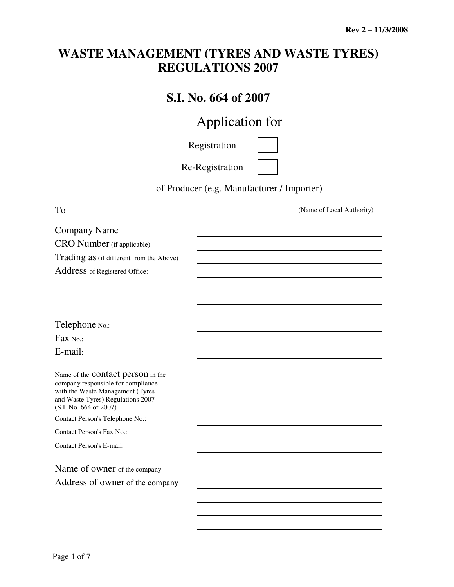## **WASTE MANAGEMENT (TYRES AND WASTE TYRES) REGULATIONS 2007**

## **S.I. No. 664 of 2007**

# Application for

Registration

Re-Registration

of Producer (e.g. Manufacturer / Importer)

| To                                                                                                                                                                                | (Name of Local Authority) |
|-----------------------------------------------------------------------------------------------------------------------------------------------------------------------------------|---------------------------|
| <b>Company Name</b>                                                                                                                                                               |                           |
| CRO Number (if applicable)                                                                                                                                                        |                           |
| Trading as (if different from the Above)                                                                                                                                          |                           |
| Address of Registered Office:                                                                                                                                                     |                           |
|                                                                                                                                                                                   |                           |
|                                                                                                                                                                                   |                           |
|                                                                                                                                                                                   |                           |
| Telephone No.:                                                                                                                                                                    |                           |
| $Fax$ No.:                                                                                                                                                                        |                           |
| E-mail:                                                                                                                                                                           |                           |
| Name of the <b>contact</b> person in the<br>company responsible for compliance<br>with the Waste Management (Tyres<br>and Waste Tyres) Regulations 2007<br>(S.I. No. 664 of 2007) |                           |
| Contact Person's Telephone No.:                                                                                                                                                   |                           |
| Contact Person's Fax No.:                                                                                                                                                         |                           |
| <b>Contact Person's E-mail:</b>                                                                                                                                                   |                           |
| Name of owner of the company                                                                                                                                                      |                           |
| Address of owner of the company                                                                                                                                                   |                           |
|                                                                                                                                                                                   |                           |
|                                                                                                                                                                                   |                           |
|                                                                                                                                                                                   |                           |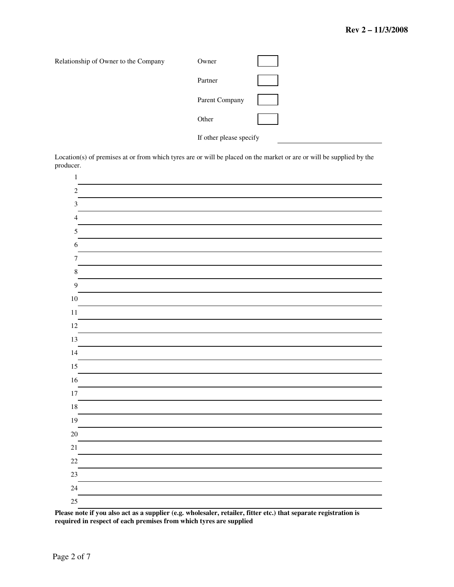

Location(s) of premises at or from which tyres are or will be placed on the market or are or will be supplied by the producer.



**Please note if you also act as a supplier (e.g. wholesaler, retailer, fitter etc.) that separate registration is required in respect of each premises from which tyres are supplied**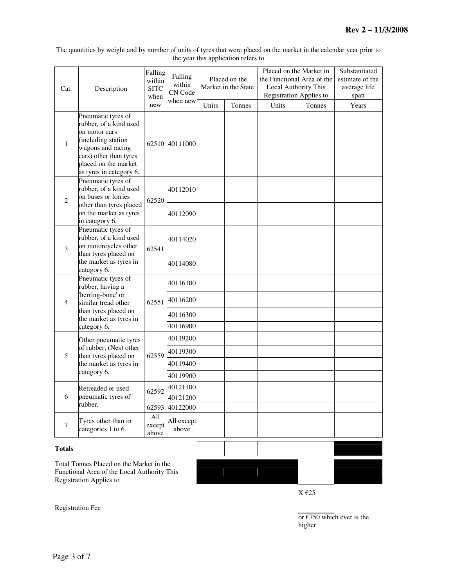The quantities by weight and by number of units of tyres that were placed on the market in the calendar year prior to the year this application refers to

| Cat.           | Description                                                                                                                                                                           | Falling<br>within<br><b>SITC</b><br>when<br>new | Falling<br>within<br>CN Code<br>when new     | Units | Placed on the<br>Market in the State<br>Tonnes | Placed on the Market in<br>the Functional Area of the<br>Local Authority This<br><b>Registration Applies to</b><br>Units | Tonnes | Substantiated<br>estimate of the<br>average life<br>span<br>Years |
|----------------|---------------------------------------------------------------------------------------------------------------------------------------------------------------------------------------|-------------------------------------------------|----------------------------------------------|-------|------------------------------------------------|--------------------------------------------------------------------------------------------------------------------------|--------|-------------------------------------------------------------------|
| $\mathbf{1}$   | Pneumatic tyres of<br>rubber, of a kind used<br>on motor cars<br>(including station<br>wagons and racing<br>cars) other than tyres<br>placed on the market<br>as tyres in category 6. | 62510                                           | 40111000                                     |       |                                                |                                                                                                                          |        |                                                                   |
| $\overline{2}$ | Pneumatic tyres of<br>rubber, of a kind used<br>on buses or lorries<br>other than tyres placed<br>on the market as tyres<br>in category 6.                                            | 62520                                           | 40112010<br>40112090                         |       |                                                |                                                                                                                          |        |                                                                   |
| 3              | Pneumatic tyres of<br>rubber, of a kind used<br>on motorcycles other<br>than tyres placed on<br>the market as tyres in                                                                | 62541                                           | 40114020<br>40114080                         |       |                                                |                                                                                                                          |        |                                                                   |
| 4              | category 6.<br>Pneumatic tyres of<br>rubber, having a<br>'herring-bone' or<br>similar tread other<br>than tyres placed on<br>the market as tyres in<br>category 6.                    | 62551                                           | 40116100<br>40116200<br>40116300<br>40116900 |       |                                                |                                                                                                                          |        |                                                                   |
| 5              | Other pneumatic tyres<br>of rubber, (Nes) other<br>than tyres placed on<br>the market as tyres in<br>category 6.                                                                      | 62559                                           | 40119200<br>40119300<br>40119400<br>40119900 |       |                                                |                                                                                                                          |        |                                                                   |
| 6              | Retreaded or used<br>pneumatic tyres of<br>rubber.                                                                                                                                    | 62592<br>62593                                  | 40121100<br>40121200<br>40122000             |       |                                                |                                                                                                                          |        |                                                                   |
| 7              | Tyres other than in<br>categories 1 to 6.                                                                                                                                             | All<br>except<br>above                          | All except<br>above                          |       |                                                |                                                                                                                          |        |                                                                   |

#### **Totals**

Total Tonnes Placed on the Market in the Functional Area of the Local Authority This Registration Applies to



Registration Fee

or  $\epsilon$ 750 which ever is the higher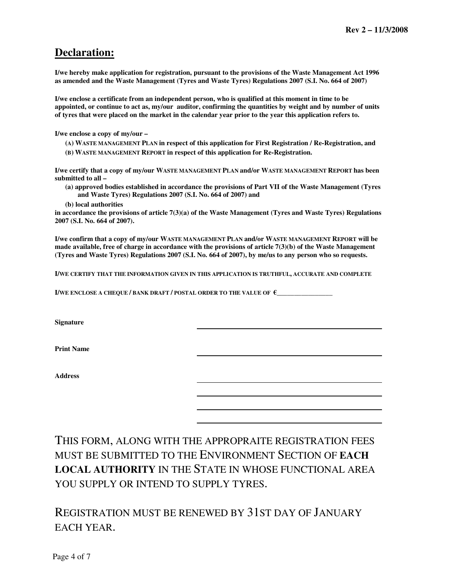### **Declaration:**

**I/we hereby make application for registration, pursuant to the provisions of the Waste Management Act 1996 as amended and the Waste Management (Tyres and Waste Tyres) Regulations 2007 (S.I. No. 664 of 2007)** 

**I/we enclose a certificate from an independent person, who is qualified at this moment in time to be appointed, or continue to act as, my/our auditor, confirming the quantities by weight and by number of units of tyres that were placed on the market in the calendar year prior to the year this application refers to.**

**I/we enclose a copy of my/our –** 

- **(A) WASTE MANAGEMENT PLAN in respect of this application for First Registration / Re-Registration, and**
- **(B) WASTE MANAGEMENT REPORT in respect of this application for Re-Registration.**

**I/we certify that a copy of my/our WASTE MANAGEMENT PLAN and/or WASTE MANAGEMENT REPORT has been submitted to all –** 

- **(a) approved bodies established in accordance the provisions of Part VII of the Waste Management (Tyres and Waste Tyres) Regulations 2007 (S.I. No. 664 of 2007) and**
- **(b) local authorities**

**in accordance the provisions of article 7(3)(a) of the Waste Management (Tyres and Waste Tyres) Regulations 2007 (S.I. No. 664 of 2007).** 

**I/we confirm that a copy of my/our WASTE MANAGEMENT PLAN and/or WASTE MANAGEMENT REPORT will be made available, free of charge in accordance with the provisions of article 7(3)(b) of the Waste Management (Tyres and Waste Tyres) Regulations 2007 (S.I. No. 664 of 2007), by me/us to any person who so requests.** 

**I/WE CERTIFY THAT THE INFORMATION GIVEN IN THIS APPLICATION IS TRUTHFUL, ACCURATE AND COMPLETE**

**I/WE ENCLOSE A CHEQUE / BANK DRAFT / POSTAL ORDER TO THE VALUE OF**  $\epsilon$ 

**Signature** 

**Print Name** 

**Address** 

THIS FORM, ALONG WITH THE APPROPRAITE REGISTRATION FEES MUST BE SUBMITTED TO THE ENVIRONMENT SECTION OF **EACH LOCAL AUTHORITY** IN THE STATE IN WHOSE FUNCTIONAL AREA YOU SUPPLY OR INTEND TO SUPPLY TYRES.

## REGISTRATION MUST BE RENEWED BY 31ST DAY OF JANUARY EACH YEAR.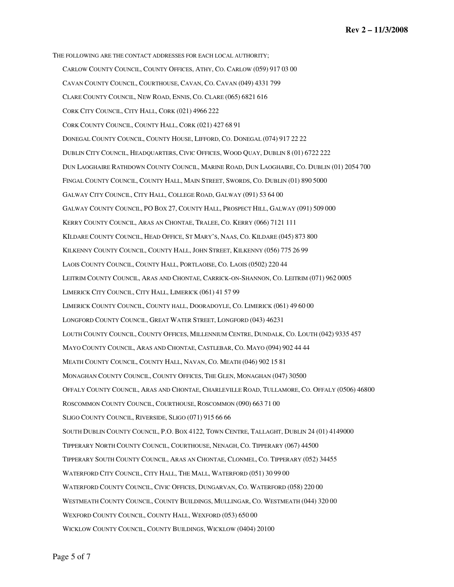THE FOLLOWING ARE THE CONTACT ADDRESSES FOR EACH LOCAL AUTHORITY; CARLOW COUNTY COUNCIL, COUNTY OFFICES, ATHY, CO. CARLOW (059) 917 03 00 CAVAN COUNTY COUNCIL, COURTHOUSE, CAVAN, CO. CAVAN (049) 4331 799 CLARE COUNTY COUNCIL, NEW ROAD, ENNIS, CO. CLARE (065) 6821 616 CORK CITY COUNCIL, CITY HALL, CORK (021) 4966 222 CORK COUNTY COUNCIL, COUNTY HALL, CORK (021) 427 68 91 DONEGAL COUNTY COUNCIL, COUNTY HOUSE, LIFFORD, CO. DONEGAL (074) 917 22 22 DUBLIN CITY COUNCIL, HEADQUARTERS, CIVIC OFFICES, WOOD QUAY, DUBLIN 8 (01) 6722 222 DUN LAOGHAIRE RATHDOWN COUNTY COUNCIL, MARINE ROAD, DUN LAOGHAIRE, CO. DUBLIN (01) 2054 700 FINGAL COUNTY COUNCIL, COUNTY HALL, MAIN STREET, SWORDS, CO. DUBLIN (01) 890 5000 GALWAY CITY COUNCIL, CITY HALL, COLLEGE ROAD, GALWAY (091) 53 64 00 GALWAY COUNTY COUNCIL, PO BOX 27, COUNTY HALL, PROSPECT HILL, GALWAY (091) 509 000 KERRY COUNTY COUNCIL, ARAS AN CHONTAE, TRALEE, CO. KERRY (066) 7121 111 KILDARE COUNTY COUNCIL, HEAD OFFICE, ST MARY'S, NAAS, CO. KILDARE (045) 873 800 KILKENNY COUNTY COUNCIL, COUNTY HALL, JOHN STREET, KILKENNY (056) 775 26 99 LAOIS COUNTY COUNCIL, COUNTY HALL, PORTLAOISE, CO. LAOIS (0502) 220 44 LEITRIM COUNTY COUNCIL, ARAS AND CHONTAE, CARRICK-ON-SHANNON, CO. LEITRIM (071) 962 0005 LIMERICK CITY COUNCIL, CITY HALL, LIMERICK (061) 41 57 99 LIMERICK COUNTY COUNCIL, COUNTY HALL, DOORADOYLE, CO. LIMERICK (061) 49 60 00 LONGFORD COUNTY COUNCIL, GREAT WATER STREET, LONGFORD (043) 46231 LOUTH COUNTY COUNCIL, COUNTY OFFICES, MILLENNIUM CENTRE, DUNDALK, CO. LOUTH (042) 9335 457 MAYO COUNTY COUNCIL, ARAS AND CHONTAE, CASTLEBAR, CO. MAYO (094) 902 44 44 MEATH COUNTY COUNCIL, COUNTY HALL, NAVAN, CO. MEATH (046) 902 15 81 MONAGHAN COUNTY COUNCIL, COUNTY OFFICES, THE GLEN, MONAGHAN (047) 30500 OFFALY COUNTY COUNCIL, ARAS AND CHONTAE, CHARLEVILLE ROAD, TULLAMORE, CO. OFFALY (0506) 46800 ROSCOMMON COUNTY COUNCIL, COURTHOUSE, ROSCOMMON (090) 663 71 00 SLIGO COUNTY COUNCIL, RIVERSIDE, SLIGO (071) 915 66 66 SOUTH DUBLIN COUNTY COUNCIL, P.O. BOX 4122, TOWN CENTRE, TALLAGHT, DUBLIN 24 (01) 4149000 TIPPERARY NORTH COUNTY COUNCIL, COURTHOUSE, NENAGH, CO. TIPPERARY (067) 44500 TIPPERARY SOUTH COUNTY COUNCIL, ARAS AN CHONTAE, CLONMEL, CO. TIPPERARY (052) 34455 WATERFORD CITY COUNCIL, CITY HALL, THE MALL, WATERFORD (051) 30 99 00 WATERFORD COUNTY COUNCIL, CIVIC OFFICES, DUNGARVAN, CO. WATERFORD (058) 220 00 WESTMEATH COUNTY COUNCIL, COUNTY BUILDINGS, MULLINGAR, CO. WESTMEATH (044) 320 00 WEXFORD COUNTY COUNCIL, COUNTY HALL, WEXFORD (053) 650 00 WICKLOW COUNTY COUNCIL, COUNTY BUILDINGS, WICKLOW (0404) 20100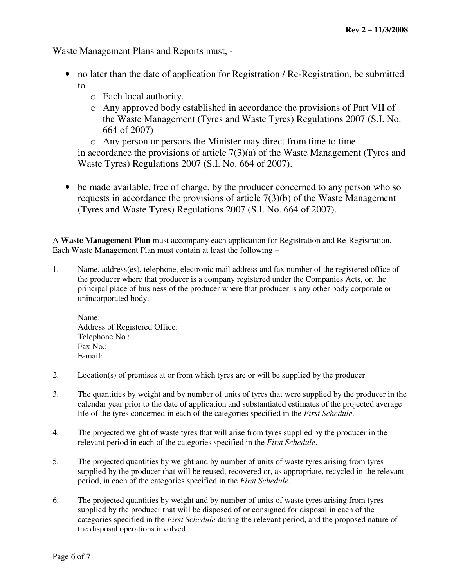Waste Management Plans and Reports must, -

- no later than the date of application for Registration / Re-Registration, be submitted  $to$ 
	- o Each local authority.
	- o Any approved body established in accordance the provisions of Part VII of the Waste Management (Tyres and Waste Tyres) Regulations 2007 (S.I. No. 664 of 2007)

o Any person or persons the Minister may direct from time to time. in accordance the provisions of article 7(3)(a) of the Waste Management (Tyres and Waste Tyres) Regulations 2007 (S.I. No. 664 of 2007).

• be made available, free of charge, by the producer concerned to any person who so requests in accordance the provisions of article 7(3)(b) of the Waste Management (Tyres and Waste Tyres) Regulations 2007 (S.I. No. 664 of 2007).

A **Waste Management Plan** must accompany each application for Registration and Re-Registration. Each Waste Management Plan must contain at least the following –

1. Name, address(es), telephone, electronic mail address and fax number of the registered office of the producer where that producer is a company registered under the Companies Acts, or, the principal place of business of the producer where that producer is any other body corporate or unincorporated body.

Name: Address of Registered Office: Telephone No.: Fax No.: E-mail:

- 2. Location(s) of premises at or from which tyres are or will be supplied by the producer.
- 3. The quantities by weight and by number of units of tyres that were supplied by the producer in the calendar year prior to the date of application and substantiated estimates of the projected average life of the tyres concerned in each of the categories specified in the *First Schedule*.
- 4. The projected weight of waste tyres that will arise from tyres supplied by the producer in the relevant period in each of the categories specified in the *First Schedule*.
- 5. The projected quantities by weight and by number of units of waste tyres arising from tyres supplied by the producer that will be reused, recovered or, as appropriate, recycled in the relevant period, in each of the categories specified in the *First Schedule*.
- 6. The projected quantities by weight and by number of units of waste tyres arising from tyres supplied by the producer that will be disposed of or consigned for disposal in each of the categories specified in the *First Schedule* during the relevant period, and the proposed nature of the disposal operations involved.